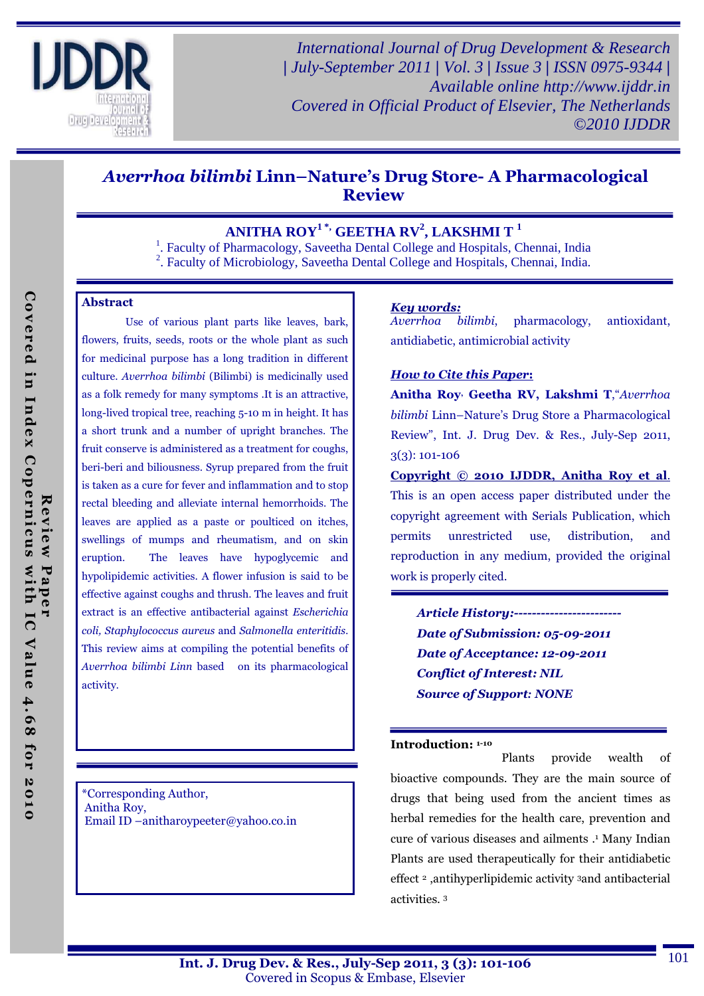

*International Journal of Drug Development & Research | July-September 2011 | Vol. 3 | Issue 3 | ISSN 0975-9344 | Available online http://www.ijddr.in Covered in Official Product of Elsevier, The Netherlands ©2010 IJDDR*

# Averrhoa bilimbi Linn–Nature's Drug Store- A Pharmacological Review

## **ANITHA ROY1 \*, GEETHA RV<sup>2</sup> , LAKSHMI T <sup>1</sup>**

<sup>1</sup>. Faculty of Pharmacology, Saveetha Dental College and Hospitals, Chennai, India

<sup>2</sup>. Faculty of Microbiology, Saveetha Dental College and Hospitals, Chennai, India.

### Abstract

 Use of various plant parts like leaves, bark, flowers, fruits, seeds, roots or the whole plant as such for medicinal purpose has a long tradition in different culture. Averrhoa bilimbi (Bilimbi) is medicinally used as a folk remedy for many symptoms .It is an attractive, long-lived tropical tree, reaching 5-10 m in height. It has a short trunk and a number of upright branches. The fruit conserve is administered as a treatment for coughs, beri-beri and biliousness. Syrup prepared from the fruit is taken as a cure for fever and inflammation and to stop rectal bleeding and alleviate internal hemorrhoids. The leaves are applied as a paste or poulticed on itches, swellings of mumps and rheumatism, and on skin eruption. The leaves have hypoglycemic and hypolipidemic activities. A flower infusion is said to be effective against coughs and thrush. The leaves and fruit extract is an effective antibacterial against Escherichia coli, Staphylococcus aureus and Salmonella enteritidis. This review aims at compiling the potential benefits of Averrhoa bilimbi Linn based on its pharmacological activity.

\*Corresponding Author, Anitha Roy, Email ID –anitharoypeeter@yahoo.co.in

### *Key words:*

Averrhoa bilimbi, pharmacology, antioxidant, antidiabetic, antimicrobial activity

### *How to Cite this Paper*:

Anitha Roy<sup>,</sup> Geetha RV, Lakshmi T, "Averrhoa bilimbi Linn–Nature's Drug Store a Pharmacological Review", Int. J. Drug Dev. & Res., July-Sep 2011, 3(3): 101-106

Copyright © 2010 IJDDR, Anitha Roy et al. This is an open access paper distributed under the copyright agreement with Serials Publication, which permits unrestricted use, distribution, and reproduction in any medium, provided the original work is properly cited.

*Article History:------------------------ Date of Submission: 05-09-2011 Date of Acceptance: 12-09-2011 Conflict of Interest: NIL Source of Support: NONE*

#### Introduction: 1-10

 Plants provide wealth of bioactive compounds. They are the main source of drugs that being used from the ancient times as herbal remedies for the health care, prevention and cure of various diseases and ailments .<sup>1</sup> Many Indian Plants are used therapeutically for their antidiabetic effect 2 ,antihyperlipidemic activity 3and antibacterial activities. <sup>3</sup>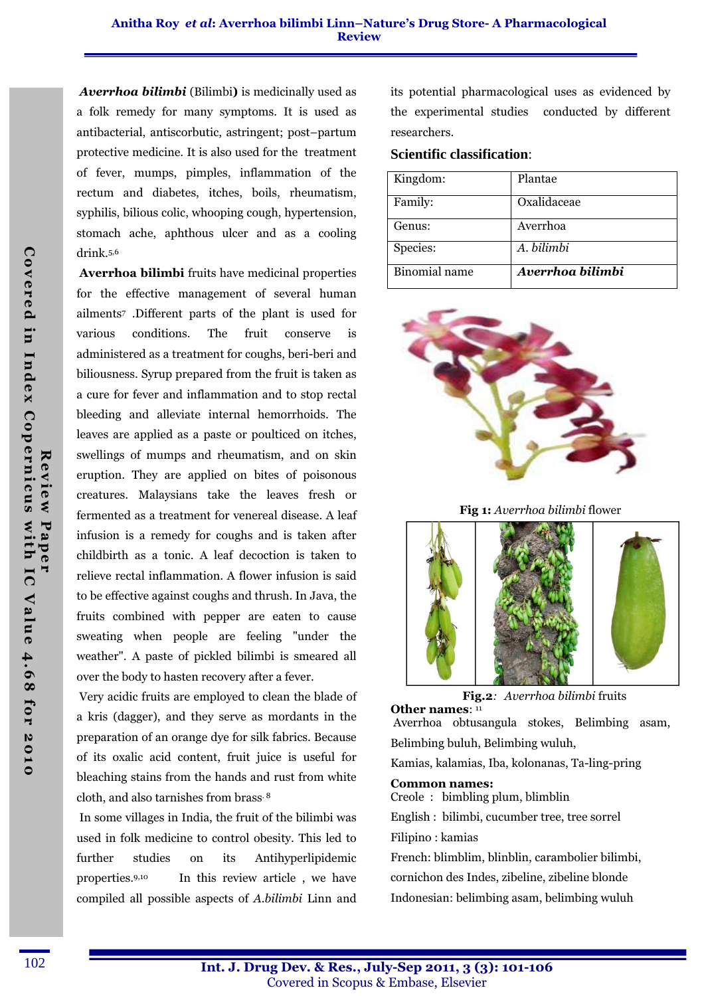*Averrhoa bilimbi* (Bilimbi) is medicinally used as a folk remedy for many symptoms. It is used as antibacterial, antiscorbutic, astringent; post–partum protective medicine. It is also used for the treatment of fever, mumps, pimples, inflammation of the rectum and diabetes, itches, boils, rheumatism, syphilis, bilious colic, whooping cough, hypertension, stomach ache, aphthous ulcer and as a cooling drink.5,6

Averrhoa bilimbi fruits have medicinal properties for the effective management of several human ailments<sup>7</sup> .Different parts of the plant is used for various conditions. The fruit conserve is administered as a treatment for coughs, beri-beri and biliousness. Syrup prepared from the fruit is taken as a cure for fever and inflammation and to stop rectal bleeding and alleviate internal hemorrhoids. The leaves are applied as a paste or poulticed on itches, swellings of mumps and rheumatism, and on skin eruption. They are applied on bites of poisonous creatures. Malaysians take the leaves fresh or fermented as a treatment for venereal disease. A leaf infusion is a remedy for coughs and is taken after childbirth as a tonic. A leaf decoction is taken to relieve rectal inflammation. A flower infusion is said to be effective against coughs and thrush. In Java, the fruits combined with pepper are eaten to cause sweating when people are feeling "under the weather". A paste of pickled bilimbi is smeared all over the body to hasten recovery after a fever.

 Very acidic fruits are employed to clean the blade of a kris (dagger), and they serve as mordants in the preparation of an orange dye for silk fabrics. Because of its oxalic acid content, fruit juice is useful for bleaching stains from the hands and rust from white cloth, and also tarnishes from brass. 8

 In some villages in India, the fruit of the bilimbi was used in folk medicine to control obesity. This led to further studies on its Antihyperlipidemic properties.9,10 In this review article , we have compiled all possible aspects of A.bilimbi Linn and

its potential pharmacological uses as evidenced by the experimental studies conducted by different researchers.

### **Scientific classification**:

| Kingdom:             | Plantae          |
|----------------------|------------------|
| Family:              | Oxalidaceae      |
| Genus:               | Averrhoa         |
| Species:             | A. bilimbi       |
| <b>Binomial</b> name | Averrhoa bilimbi |







Fig.2:Averrhoa bilimbi fruits

Other names: 11 Averrhoa obtusangula stokes, Belimbing asam, Belimbing buluh, Belimbing wuluh, Kamias, kalamias, Iba, kolonanas, Ta-ling-pring Common names: Creole : bimbling plum, blimblin English : bilimbi, cucumber tree, tree sorrel Filipino : kamias French: blimblim, blinblin, carambolier bilimbi, cornichon des Indes, zibeline, zibeline blonde

Indonesian: belimbing asam, belimbing wuluh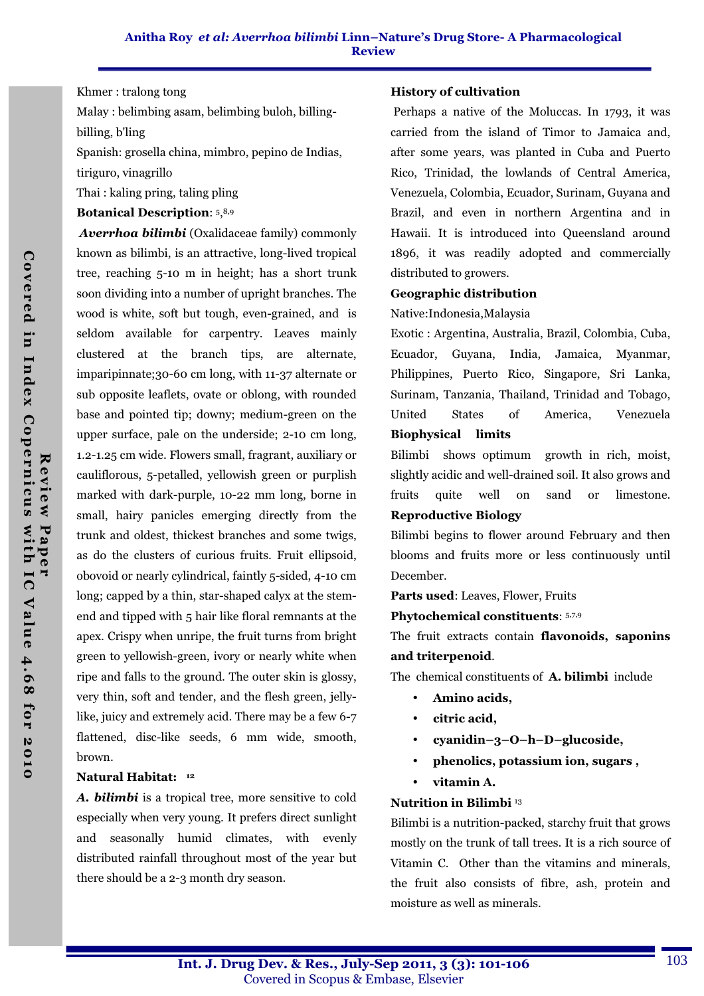### Khmer : tralong tong

Malay : belimbing asam, belimbing buloh, billingbilling, b'ling

Spanish: grosella china, mimbro, pepino de Indias, tiriguro, vinagrillo

Thai : kaling pring, taling pling

### Botanical Description: 5, 8,9

*Averrhoa bilimbi* (Oxalidaceae family) commonly known as bilimbi, is an attractive, long-lived tropical tree, reaching 5-10 m in height; has a short trunk soon dividing into a number of upright branches. The wood is white, soft but tough, even-grained, and is seldom available for carpentry. Leaves mainly clustered at the branch tips, are alternate, imparipinnate;30-60 cm long, with 11-37 alternate or sub opposite leaflets, ovate or oblong, with rounded base and pointed tip; downy; medium-green on the upper surface, pale on the underside; 2-10 cm long, 1.2-1.25 cm wide. Flowers small, fragrant, auxiliary or cauliflorous, 5-petalled, yellowish green or purplish marked with dark-purple, 10-22 mm long, borne in small, hairy panicles emerging directly from the trunk and oldest, thickest branches and some twigs, as do the clusters of curious fruits. Fruit ellipsoid, obovoid or nearly cylindrical, faintly 5-sided, 4-10 cm long; capped by a thin, star-shaped calyx at the stemend and tipped with 5 hair like floral remnants at the apex. Crispy when unripe, the fruit turns from bright green to yellowish-green, ivory or nearly white when ripe and falls to the ground. The outer skin is glossy, very thin, soft and tender, and the flesh green, jellylike, juicy and extremely acid. There may be a few 6-7 flattened, disc-like seeds, 6 mm wide, smooth, brown.

## Natural Habitat: <sup>12</sup>

*A. bilimbi* is a tropical tree, more sensitive to cold especially when very young. It prefers direct sunlight and seasonally humid climates, with evenly distributed rainfall throughout most of the year but there should be a 2-3 month dry season.

### History of cultivation

 Perhaps a native of the Moluccas. In 1793, it was carried from the island of Timor to Jamaica and, after some years, was planted in Cuba and Puerto Rico, Trinidad, the lowlands of Central America, Venezuela, Colombia, Ecuador, Surinam, Guyana and Brazil, and even in northern Argentina and in Hawaii. It is introduced into Queensland around 1896, it was readily adopted and commercially distributed to growers.

### Geographic distribution

### Native:Indonesia,Malaysia

Exotic : Argentina, Australia, Brazil, Colombia, Cuba, Ecuador, Guyana, India, Jamaica, Myanmar, Philippines, Puerto Rico, Singapore, Sri Lanka, Surinam, Tanzania, Thailand, Trinidad and Tobago, United States of America, Venezuela Biophysical limits

# Bilimbi shows optimum growth in rich, moist, slightly acidic and well-drained soil. It also grows and fruits quite well on sand or limestone.

# Reproductive Biology

Bilimbi begins to flower around February and then blooms and fruits more or less continuously until December.

Parts used: Leaves, Flower, Fruits

### Phytochemical constituents: 5,7,9

The fruit extracts contain flavonoids, saponins and triterpenoid.

The chemical constituents of A. bilimbi include

- Amino acids,
- citric acid,
- cyanidin–3–O–h–D–glucoside,
- phenolics, potassium ion, sugars ,
- vitamin A.

## Nutrition in Bilimbi <sup>13</sup>

Bilimbi is a nutrition-packed, starchy fruit that grows mostly on the trunk of tall trees. It is a rich source of Vitamin C. Other than the vitamins and minerals, the fruit also consists of fibre, ash, protein and moisture as well as minerals.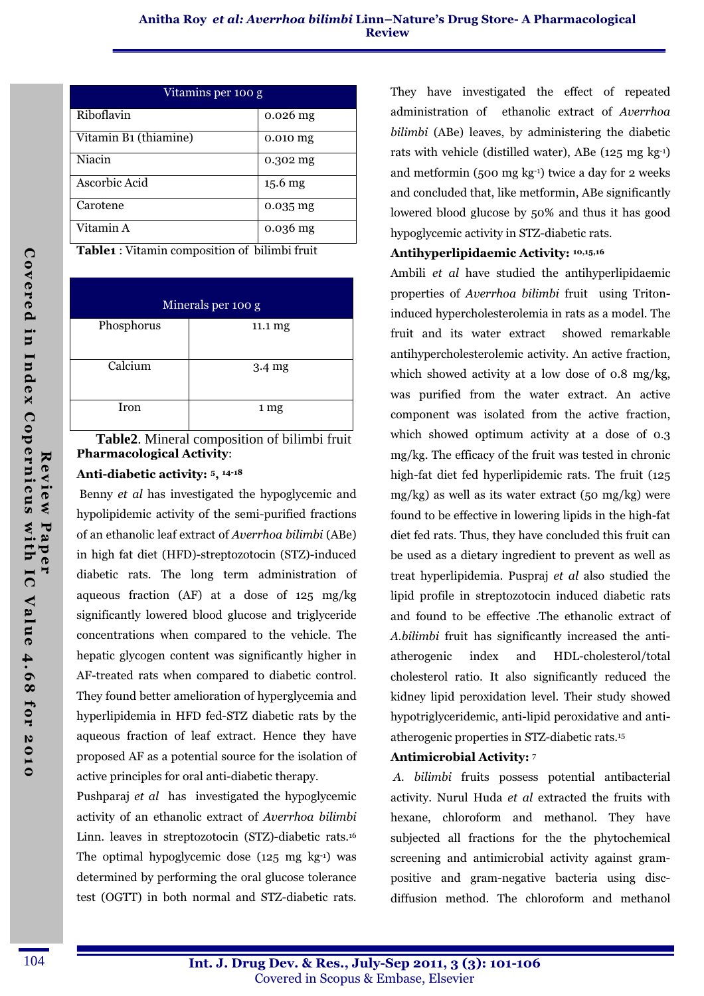| Vitamins per 100 g    |            |  |
|-----------------------|------------|--|
| Riboflavin            | $0.026$ mg |  |
| Vitamin B1 (thiamine) | $0.010$ mg |  |
| Niacin                | 0.302 mg   |  |
| Ascorbic Acid         | $15.6$ mg  |  |
| Carotene              | $0.035$ mg |  |
| Vitamin A             | $0.036$ mg |  |

Table1 : Vitamin composition of bilimbi fruit

| Minerals per 100 g |                  |  |
|--------------------|------------------|--|
| Phosphorus         | 11.1 mg          |  |
| Calcium            | $3.4 \text{ mg}$ |  |
| Iron               | 1 mg             |  |

 **Table2**. Mineral composition of bilimbi fruit Pharmacological Activity:

### Anti-diabetic activity: 5, 14-18

 Benny et al has investigated the hypoglycemic and hypolipidemic activity of the semi-purified fractions of an ethanolic leaf extract of Averrhoa bilimbi (ABe) in high fat diet (HFD)-streptozotocin (STZ)-induced diabetic rats. The long term administration of aqueous fraction (AF) at a dose of 125 mg/kg significantly lowered blood glucose and triglyceride concentrations when compared to the vehicle. The hepatic glycogen content was significantly higher in AF-treated rats when compared to diabetic control. They found better amelioration of hyperglycemia and hyperlipidemia in HFD fed-STZ diabetic rats by the aqueous fraction of leaf extract. Hence they have proposed AF as a potential source for the isolation of active principles for oral anti-diabetic therapy.

Pushparaj et al has investigated the hypoglycemic activity of an ethanolic extract of Averrhoa bilimbi Linn. leaves in streptozotocin (STZ)-diabetic rats.<sup>16</sup> The optimal hypoglycemic dose  $(125 \text{ mg} \text{ kg}^{-1})$  was determined by performing the oral glucose tolerance test (OGTT) in both normal and STZ-diabetic rats.

They have investigated the effect of repeated administration of ethanolic extract of Averrhoa bilimbi (ABe) leaves, by administering the diabetic rats with vehicle (distilled water), ABe (125 mg kg-1) and metformin (500 mg kg-1) twice a day for 2 weeks and concluded that, like metformin, ABe significantly lowered blood glucose by 50% and thus it has good hypoglycemic activity in STZ-diabetic rats.

### Antihyperlipidaemic Activity: 10,15,16

Ambili et al have studied the antihyperlipidaemic properties of Averrhoa bilimbi fruit using Tritoninduced hypercholesterolemia in rats as a model. The fruit and its water extract showed remarkable antihypercholesterolemic activity. An active fraction, which showed activity at a low dose of 0.8 mg/kg, was purified from the water extract. An active component was isolated from the active fraction, which showed optimum activity at a dose of 0.3 mg/kg. The efficacy of the fruit was tested in chronic high-fat diet fed hyperlipidemic rats. The fruit (125 mg/kg) as well as its water extract (50 mg/kg) were found to be effective in lowering lipids in the high-fat diet fed rats. Thus, they have concluded this fruit can be used as a dietary ingredient to prevent as well as treat hyperlipidemia. Puspraj et al also studied the lipid profile in streptozotocin induced diabetic rats and found to be effective .The ethanolic extract of A.bilimbi fruit has significantly increased the antiatherogenic index and HDL-cholesterol/total cholesterol ratio. It also significantly reduced the kidney lipid peroxidation level. Their study showed hypotriglyceridemic, anti-lipid peroxidative and antiatherogenic properties in STZ-diabetic rats.<sup>15</sup>

## Antimicrobial Activity: <sup>7</sup>

 A. bilimbi fruits possess potential antibacterial activity. Nurul Huda et al extracted the fruits with hexane, chloroform and methanol. They have subjected all fractions for the the phytochemical screening and antimicrobial activity against grampositive and gram-negative bacteria using discdiffusion method. The chloroform and methanol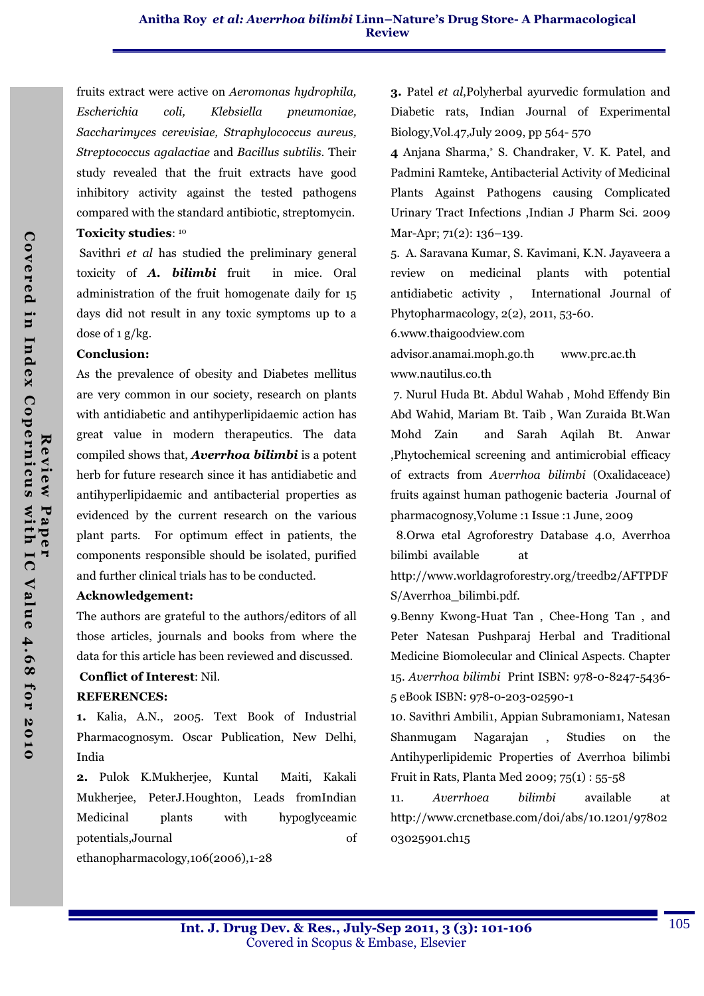fruits extract were active on Aeromonas hydrophila, Escherichia coli, Klebsiella pneumoniae, Saccharimyces cerevisiae, Straphylococcus aureus, Streptococcus agalactiae and Bacillus subtilis. Their study revealed that the fruit extracts have good inhibitory activity against the tested pathogens compared with the standard antibiotic, streptomycin. Toxicity studies: <sup>10</sup>

 Savithri et al has studied the preliminary general toxicity of *A. bilimbi* fruit in mice. Oral administration of the fruit homogenate daily for 15 days did not result in any toxic symptoms up to a dose of 1 g/kg.

### Conclusion:

As the prevalence of obesity and Diabetes mellitus are very common in our society, research on plants with antidiabetic and antihyperlipidaemic action has great value in modern therapeutics. The data compiled shows that, *Averrhoa bilimbi* is a potent herb for future research since it has antidiabetic and antihyperlipidaemic and antibacterial properties as evidenced by the current research on the various plant parts. For optimum effect in patients, the components responsible should be isolated, purified and further clinical trials has to be conducted.

### Acknowledgement:

The authors are grateful to the authors/editors of all those articles, journals and books from where the data for this article has been reviewed and discussed.

## Conflict of Interest: Nil.

### REFERENCES:

1. Kalia, A.N., 2005. Text Book of Industrial Pharmacognosym. Oscar Publication, New Delhi, India

2. Pulok K.Mukherjee, Kuntal Maiti, Kakali Mukherjee, PeterJ.Houghton, Leads fromIndian Medicinal plants with hypoglyceamic potentials,Journal of

ethanopharmacology,106(2006),1-28

3. Patel et al,Polyherbal ayurvedic formulation and Diabetic rats, Indian Journal of Experimental Biology,Vol.47,July 2009, pp 564- 570

4 Anjana Sharma,\* S. Chandraker, V. K. Patel, and Padmini Ramteke, Antibacterial Activity of Medicinal Plants Against Pathogens causing Complicated Urinary Tract Infections ,Indian J Pharm Sci. 2009 Mar-Apr; 71(2): 136-139.

5. A. Saravana Kumar, S. Kavimani, K.N. Jayaveera a review on medicinal plants with potential antidiabetic activity , International Journal of Phytopharmacology, 2(2), 2011, 53-60.

6.www.thaigoodview.com

advisor.anamai.moph.go.th www.prc.ac.th www.nautilus.co.th

 7. Nurul Huda Bt. Abdul Wahab , Mohd Effendy Bin Abd Wahid, Mariam Bt. Taib , Wan Zuraida Bt.Wan Mohd Zain and Sarah Aqilah Bt. Anwar ,Phytochemical screening and antimicrobial efficacy of extracts from Averrhoa bilimbi (Oxalidaceace) fruits against human pathogenic bacteria Journal of pharmacognosy,Volume :1 Issue :1 June, 2009

 8.Orwa etal Agroforestry Database 4.0, Averrhoa bilimbi available at

http://www.worldagroforestry.org/treedb2/AFTPDF S/Averrhoa\_bilimbi.pdf.

9.Benny Kwong-Huat Tan , Chee-Hong Tan , and Peter Natesan Pushparaj Herbal and Traditional Medicine Biomolecular and Clinical Aspects. Chapter 15. Averrhoa bilimbi Print ISBN: 978-0-8247-5436- 5 eBook ISBN: 978-0-203-02590-1

10. Savithri Ambili1, Appian Subramoniam1, Natesan Shanmugam Nagarajan , Studies on the Antihyperlipidemic Properties of Averrhoa bilimbi Fruit in Rats, Planta Med 2009; 75(1) : 55-58

11. Averrhoea bilimbi available at http://www.crcnetbase.com/doi/abs/10.1201/97802 03025901.ch15